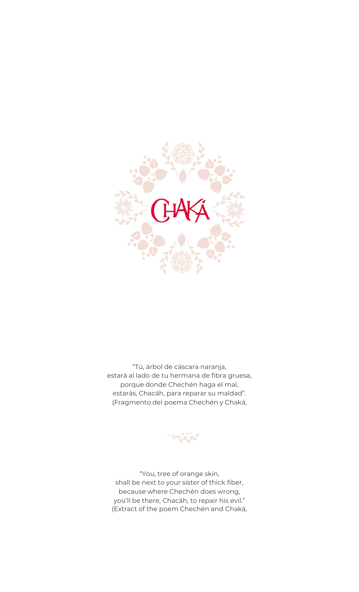

"Tú, árbol de cáscara naranja, estará al lado de tu hermana de fibra gruesa, porque donde Chechén haga el mal, estarás, Chacáh, para reparar su maldad". (Fragmento del poema Chechén y Chaká,

"You, tree of orange skin, shall be next to your sister of thick fiber, because where Chechén does wrong, you'll be there, Chacáh, to repair his evil." (Extract of the poem Chechén and Chaká,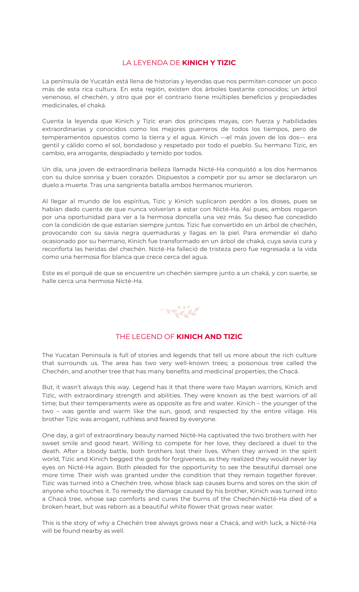# LA LEYENDA DE **KINICH Y TIZIC**

La península de Yucatán está llena de historias y leyendas que nos permiten conocer un poco más de esta rica cultura. En esta región, existen dos árboles bastante conocidos; un árbol venenoso, el chechén, y otro que por el contrario tiene múltiples beneficios y propiedades medicinales, el chaká.

Cuenta la leyenda que Kinich y Tizic eran dos príncipes mayas, con fuerza y habilidades extraordinarias y conocidos como los mejores guerreros de todos los tiempos, pero de temperamentos opuestos como la tierra y el agua. Kinich —el más joven de los dos— era gentil y cálido como el sol, bondadoso y respetado por todo el pueblo. Su hermano Tizic, en cambio, era arrogante, despiadado y temido por todos.

Un día, una joven de extraordinaria belleza llamada Nicté-Ha conquistó a los dos hermanos con su dulce sonrisa y buen corazón. Dispuestos a competir por su amor se declararon un duelo a muerte. Tras una sangrienta batalla ambos hermanos murieron.

Al llegar al mundo de los espíritus, Tizic y Kinich suplicaron perdón a los dioses, pues se habían dado cuenta de que nunca volverían a estar con Nicté-Ha. Así pues, ambos rogaron por una oportunidad para ver a la hermosa doncella una vez más. Su deseo fue concedido con la condición de que estarían siempre juntos. Tizic fue convertido en un árbol de chechén, provocando con su savia negra quemaduras y llagas en la piel. Para enmendar el daño ocasionado por su hermano, Kinich fue transformado en un árbol de chaká, cuya savia cura y reconforta las heridas del chechén. Nicté-Ha falleció de tristeza pero fue regresada a la vida como una hermosa flor blanca que crece cerca del agua.

Este es el porqué de que se encuentre un chechén siempre junto a un chaká, y con suerte, se halle cerca una hermosa Nicté-Ha.



#### THE LEGEND OF **KINICH AND TIZIC**

The Yucatan Peninsula is full of stories and legends that tell us more about the rich culture that surrounds us. The area has two very well-known trees; a poisonous tree called the Chechén, and another tree that has many benefits and medicinal properties; the Chacá.

But, it wasn't always this way. Legend has it that there were two Mayan warriors, Kinich and Tizic, with extraordinary strength and abilities. They were known as the best warriors of all time; but their temperaments were as opposite as fire and water. Kinich – the younger of the two – was gentle and warm like the sun, good, and respected by the entire village. His brother Tizic was arrogant, ruthless and feared by everyone.

One day, a girl of extraordinary beauty named Nicté-Ha captivated the two brothers with her sweet smile and good heart. Willing to compete for her love, they declared a duel to the death. After a bloody battle, both brothers lost their lives. When they arrived in the spirit world, Tizic and Kinich begged the gods for forgiveness, as they realized they would never lay eyes on Nicté-Ha again. Both pleaded for the opportunity to see the beautiful damsel one more time. Their wish was granted under the condition that they remain together forever. Tizic was turned into a Chechén tree, whose black sap causes burns and sores on the skin of anyone who touches it. To remedy the damage caused by his brother, Kinich was turned into a Chacá tree, whose sap comforts and cures the burns of the Chechén.Nicté-Ha died of a broken heart, but was reborn as a beautiful white flower that grows near water.

This is the story of why a Chechén tree always grows near a Chacá, and with luck, a Nicté-Ha will be found nearby as well.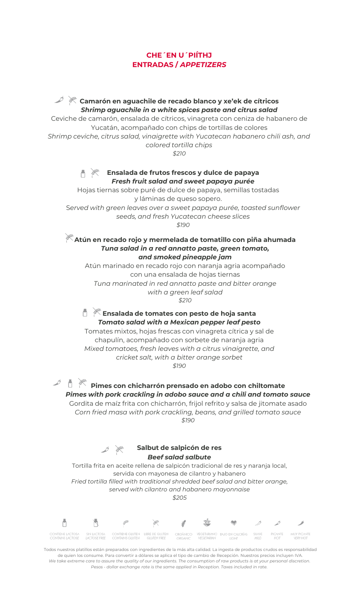# **CHE´EN U´PIÍTHJ ENTRADAS /** *APPETIZERS*

**Camarón en aguachile de recado blanco y xe'ek de cítricos** *Shrimp aguachile in a white spices paste and citrus salad* Ceviche de camarón, ensalada de cítricos, vinagreta con ceniza de habanero de Yucatán, acompañado con chips de tortillas de colores *Shrimp ceviche, citrus salad, vinaigrette with Yucatecan habanero chili ash, and colored tortilla chips \$210* **Ensalada de frutos frescos y dulce de papaya**  $\mathbb{R}$ *Fresh fruit salad and sweet papaya purée* Hojas tiernas sobre puré de dulce de papaya, semillas tostadas y láminas de queso sopero. S*erved with green leaves over a sweet papaya purée, toasted sunflower seeds, and fresh Yucatecan cheese slices \$190* **Atún en recado rojo y mermelada de tomatillo con piña ahumada** *Tuna salad in a red annatto paste, green tomato, and smoked pineapple jam* Atún marinado en recado rojo con naranja agria acompañado

con una ensalada de hojas tiernas *Tuna marinated in red annatto paste and bitter orange with a green leaf salad \$210*

**Ensalada de tomates con pesto de hoja santa** *Tomato salad with a Mexican pepper leaf pesto*

Tomates mixtos, hojas frescas con vinagreta cítrica y sal de chapulín, acompañado con sorbete de naranja agria *Mixed tomatoes, fresh leaves with a citrus vinaigrette, and cricket salt, with a bitter orange sorbet \$190*

一点 **Pimes con chicharrón prensado en adobo con chiltomate** *Pimes with pork crackling in adobo sauce and a chili and tomato sauce* Gordita de maíz frita con chicharrón, frijol refrito y salsa de jitomate asado *Corn fried masa with pork crackling, beans, and grilled tomato sauce \$190*

**Salbut de salpicón de res** *Beef salad salbute* Tortilla frita en aceite rellena de salpicón tradicional de res y naranja local, servida con mayonesa de cilantro y habanero *Fried tortilla filled with traditional shredded beef salad and bitter orange, served with cilantro and habanero mayonnaise \$205*

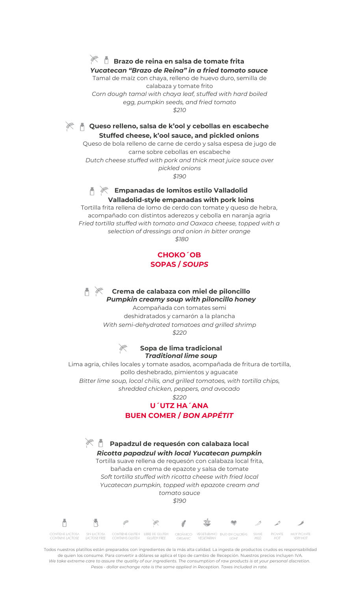# **Brazo de reina en salsa de tomate frita**

*Yucatecan "Brazo de Reina" in a fried tomato sauce* Tamal de maíz con chaya, relleno de huevo duro, semilla de calabaza y tomate frito *Corn dough tamal with chaya leaf, stuffed with hard boiled egg, pumpkin seeds, and fried tomato*

*\$210*

**Queso relleno, salsa de k'ool y cebollas en escabeche Stuffed cheese, k'ool sauce, and pickled onions**

Queso de bola relleno de carne de cerdo y salsa espesa de jugo de carne sobre cebollas en escabeche *Dutch cheese stuffed with pork and thick meat juice sauce over pickled onions*

*\$190*



#### **Empanadas de lomitos estilo Valladolid Valladolid-style empanadas with pork loins**

Tortilla frita rellena de lomo de cerdo con tomate y queso de hebra, acompañado con distintos aderezos y cebolla en naranja agria *Fried tortilla stuffed with tomato and Oaxaca cheese, topped with a selection of dressings and onion in bitter orange \$180*

> **CHOKO´OB SOPAS /** *SOUPS*



#### **Crema de calabaza con miel de piloncillo** *Pumpkin creamy soup with piloncillo honey*

Acompañada con tomates semi deshidratados y camarón a la plancha *With semi-dehydrated tomatoes and grilled shrimp \$220*

## **Sopa de lima tradicional** *Traditional lime soup*

Lima agria, chiles locales y tomate asados, acompañada de fritura de tortilla, pollo deshebrado, pimientos y aguacate *Bitter lime soup, local chilis, and grilled tomatoes, with tortilla chips, shredded chicken, peppers, and avocado*

*\$220*

# **U´UTZ HA´ANA BUEN COMER /** *BON APPÉTIT*

**Papadzul de requesón con calabaza local** *Ricotta papadzul with local Yucatecan pumpkin* Tortilla suave rellena de requesón con calabaza local frita, bañada en crema de epazote y salsa de tomate *Soft tortilla stuffed with ricotta cheese with fried local Yucatecan pumpkin, topped with epazote cream and tomato sauce \$190* Ō CONTIENE LACTOSA<br>CONTAINS LACTOSE CONTIENE GLUTEN<br>CONTAINS GLUTEN LIBRE DE GLUTEN **BAJO EN CALORÍAS**<br>LIGHT SUAVE PICANTE MUY PICANTE<br>VERY HOT LACTOSE FREE MILD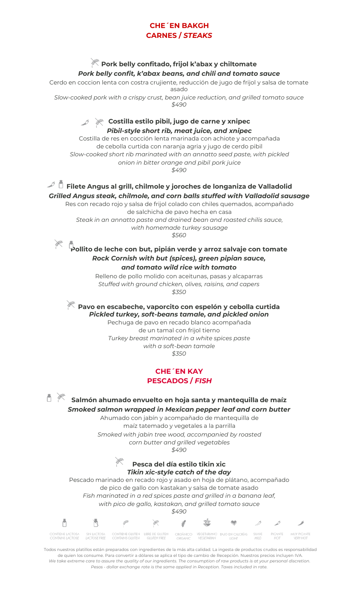## **CHE´EN BAKGH CARNES /** *STEAKS*

# **Pork belly confitado, frijol k'abax y chiltomate**

*Pork belly confit, k'abax beans, and chili and tomato sauce*

Cerdo en coccion lenta con costra crujiente, reducción de jugo de frijol y salsa de tomate asado *Slow-cooked pork with a crispy crust, bean juice reduction, and grilled tomato sauce*

*\$490*

# **Costilla estilo pibil, jugo de carne y xnipec** *Pibil-style short rib, meat juice, and xnipec*

Costilla de res en cocción lenta marinada con achiote y acompañada de cebolla curtida con naranja agria y jugo de cerdo pibil *Slow-cooked short rib marinated with an annatto seed paste, with pickled onion in bitter orange and pibil pork juice \$490*

# $\mathbb{Z}^{\mathbb{Z}}$   $\mathbb{\tilde{D}}$  Filete Angus al grill, chilmole y joroches de longaniza de Valladolid

*Grilled Angus steak, chilmole, and corn balls stuffed with Valladolid sausage* Res con recado rojo y salsa de frijol colado con chiles quemados, acompañado de salchicha de pavo hecha en casa *Steak in an annatto paste and drained bean and roasted chilis sauce,* 

*with homemade turkey sausage*

*\$560*



山 家

Ō

CONTIENE LACTOSA<br>CONTAINS LACTOSE

SIN LACTOSA

CONTIENE GLUTEN<br>CONTAINS GLUTEN

# **Pollito de leche con but, pipián verde y arroz salvaje con tomate** *Rock Cornish with but (spices), green pipian sauce, and tomato wild rice with tomato*

Relleno de pollo molido con aceitunas, pasas y alcaparras *Stuffed with ground chicken, olives, raisins, and capers \$350*

**Pavo en escabeche, vaporcito con espelón y cebolla curtida** *Pickled turkey, soft-beans tamale, and pickled onion*

Pechuga de pavo en recado blanco acompañada de un tamal con frijol tierno *Turkey breast marinated in a white spices paste with a soft-bean tamale \$350*

# **CHE´EN KAY PESCADOS /** *FISH*

**Salmón ahumado envuelto en hoja santa y mantequilla de maíz** *Smoked salmon wrapped in Mexican pepper leaf and corn butter*

Ahumado con jabín y acompañado de mantequilla de maíz tatemado y vegetales a la parrilla *Smoked with jabin tree wood, accompanied by roasted corn butter and grilled vegetables \$490*

> **Pesca del día estilo tikin xic** *Tikin xic-style catch of the day*

Pescado marinado en recado rojo y asado en hoja de plátano, acompañado de pico de gallo con kastakan y salsa de tomate asado *Fish marinated in a red spices paste and grilled in a banana leaf, with pico de gallo, kastakan, and grilled tomato sauce \$490*

Todos nuestros platillos están preparados con ingredientes de la más alta calidad. La ingesta de productos crudos es responsabilidad de quien los consume. Para convertir a dólares se aplica el tipo de cambio de Recepción. Nuestros precios incluyen IVA. *We take extreme care to assure the quality of our ingredients. The consumption of raw products is at your personal discretion. Pesos - dollar exchange rate is the same applied in Reception. Taxes included in rate.*

ORGÁNICO<br>ORGANIC

VEGETARIANO BAJO EN CALORÍAS<br>VEGETARIAN IGHT

SUAVE

MILD

PICANTE<br>HOT

MUY PICANTE<br>VERY HOT

LIBRE DE GLUTEN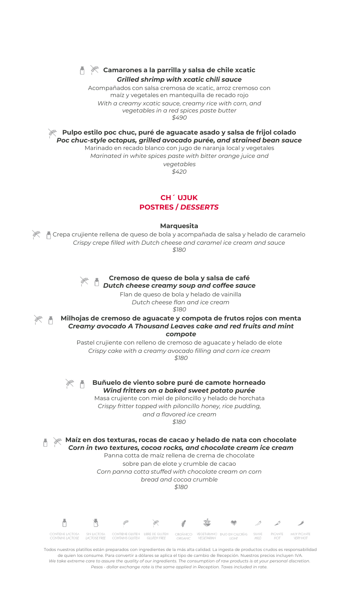

#### **Camarones a la parrilla y salsa de chile xcatic** *Grilled shrimp with xcatic chili sauce*

Acompañados con salsa cremosa de xcatic, arroz cremoso con maíz y vegetales en mantequilla de recado rojo *With a creamy xcatic sauce, creamy rice with corn, and vegetables in a red spices paste butter \$490*

**Pulpo estilo poc chuc, puré de aguacate asado y salsa de frijol colado** *Poc chuc-style octopus, grilled avocado purée, and strained bean sauce*

Marinado en recado blanco con jugo de naranja local y vegetales *Marinated in white spices paste with bitter orange juice and vegetables*

*\$420*

# **CH´ UJUK POSTRES /** *DESSERTS*

**Marquesita**

Crepa crujiente rellena de queso de bola y acompañada de salsa y helado de caramelo *Crispy crepe filled with Dutch cheese and caramel ice cream and sauce \$180*



de quien los consume. Para convertir a dólares se aplica el tipo de cambio de Recepción. Nuestros precios incluyen IVA. *We take extreme care to assure the quality of our ingredients. The consumption of raw products is at your personal discretion. Pesos - dollar exchange rate is the same applied in Reception. Taxes included in rate.*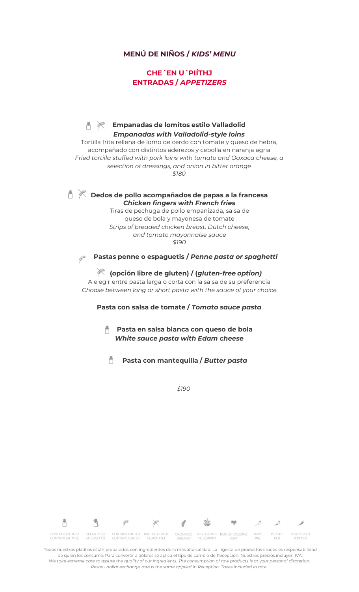### **MENÚ DE NIÑOS /** *KIDS' MENU*

# **CHE´EN U´PIÍTHJ ENTRADAS /** *APPETIZERS*

#### **Empanadas de lomitos estilo Valladolid**  $\frac{1}{2}$ n *Empanadas with Valladolid-style loins*

Tortilla frita rellena de lomo de cerdo con tomate y queso de hebra, acompañado con distintos aderezos y cebolla en naranja agria *Fried tortilla stuffed with pork loins with tomato and Oaxaca cheese, a selection of dressings, and onion in bitter orange \$180*

### **Dedos de pollo acompañados de papas a la francesa** *Chicken fingers with French fries*

Tiras de pechuga de pollo empanizada, salsa de queso de bola y mayonesa de tomate *Strips of breaded chicken breast, Dutch cheese, and tomato mayonnaise sauce \$190*

**Agents Pastas penne o espaguetis /** *Penne pasta or spaghetti*

 $\mathbb{R}$ 

### **(opción libre de gluten) / (***gluten-free option)*

A elegir entre pasta larga o corta con la salsa de su preferencia *Choose between long or short pasta with the sauce of your choice*

#### **Pasta con salsa de tomate /** *Tomato sauce pasta*

**Pasta en salsa blanca con queso de bola** *White sauce pasta with Edam cheese*

**Pasta con mantequilla /** *Butter pasta* n

*\$190*

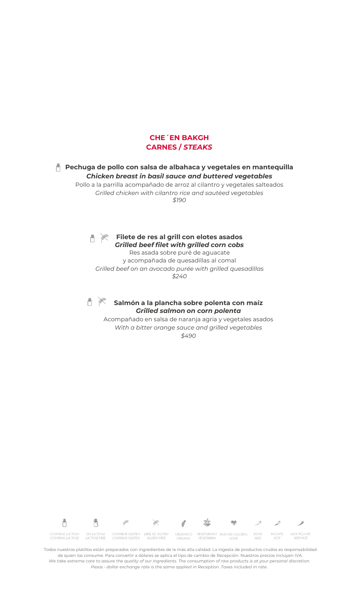

#### **Pechuga de pollo con salsa de albahaca y vegetales en mantequilla** *Chicken breast in basil sauce and buttered vegetables*

Pollo a la parrilla acompañado de arroz al cilantro y vegetales salteados *Grilled chicken with cilantro rice and sautéed vegetables \$190*



**Filete de res al grill con elotes asados** *Grilled beef filet with grilled corn cobs*

Res asada sobre puré de aguacate y acompañada de quesadillas al comal *Grilled beef on an avocado purée with grilled quesadillas \$240*



#### **Salmón a la plancha sobre polenta con maíz** *Grilled salmon on corn polenta*

Acompañado en salsa de naranja agria y vegetales asados *With a bitter orange sauce and grilled vegetables \$490*